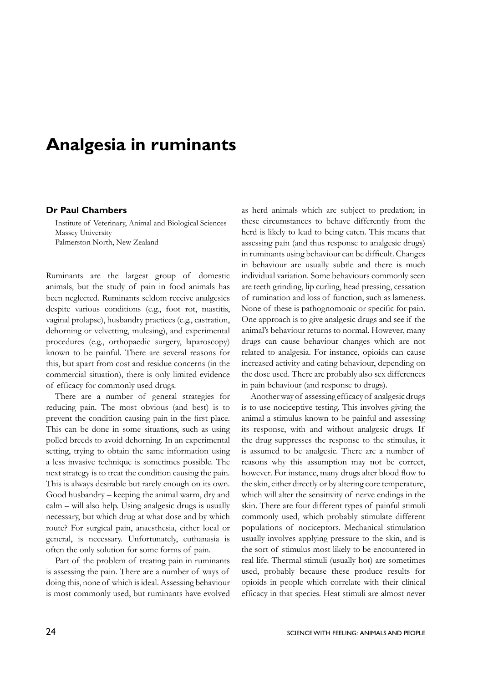## **Analgesia in ruminants**

## **Dr Paul Chambers**

Institute of Veterinary, Animal and Biological Sciences Massey University Palmerston North, New Zealand

Ruminants are the largest group of domestic animals, but the study of pain in food animals has been neglected. Ruminants seldom receive analgesics despite various conditions (e.g., foot rot, mastitis, vaginal prolapse), husbandry practices (e.g., castration, dehorning or velvetting, mulesing), and experimental procedures (e.g., orthopaedic surgery, laparoscopy) known to be painful. There are several reasons for this, but apart from cost and residue concerns (in the commercial situation), there is only limited evidence of efficacy for commonly used drugs.

There are a number of general strategies for reducing pain. The most obvious (and best) is to prevent the condition causing pain in the first place. This can be done in some situations, such as using polled breeds to avoid dehorning. In an experimental setting, trying to obtain the same information using a less invasive technique is sometimes possible. The next strategy is to treat the condition causing the pain. This is always desirable but rarely enough on its own. Good husbandry – keeping the animal warm, dry and calm – will also help. Using analgesic drugs is usually necessary, but which drug at what dose and by which route? For surgical pain, anaesthesia, either local or general, is necessary. Unfortunately, euthanasia is often the only solution for some forms of pain.

Part of the problem of treating pain in ruminants is assessing the pain. There are a number of ways of doing this, none of which is ideal. Assessing behaviour is most commonly used, but ruminants have evolved as herd animals which are subject to predation; in these circumstances to behave differently from the herd is likely to lead to being eaten. This means that assessing pain (and thus response to analgesic drugs) in ruminants using behaviour can be difficult. Changes in behaviour are usually subtle and there is much individual variation. Some behaviours commonly seen are teeth grinding, lip curling, head pressing, cessation of rumination and loss of function, such as lameness. None of these is pathognomonic or specific for pain. One approach is to give analgesic drugs and see if the animal's behaviour returns to normal. However, many drugs can cause behaviour changes which are not related to analgesia. For instance, opioids can cause increased activity and eating behaviour, depending on the dose used. There are probably also sex differences in pain behaviour (and response to drugs).

Another way of assessing efficacy of analgesic drugs is to use nociceptive testing. This involves giving the animal a stimulus known to be painful and assessing its response, with and without analgesic drugs. If the drug suppresses the response to the stimulus, it is assumed to be analgesic. There are a number of reasons why this assumption may not be correct, however. For instance, many drugs alter blood flow to the skin, either directly or by altering core temperature, which will alter the sensitivity of nerve endings in the skin. There are four different types of painful stimuli commonly used, which probably stimulate different populations of nociceptors. Mechanical stimulation usually involves applying pressure to the skin, and is the sort of stimulus most likely to be encountered in real life. Thermal stimuli (usually hot) are sometimes used, probably because these produce results for opioids in people which correlate with their clinical efficacy in that species. Heat stimuli are almost never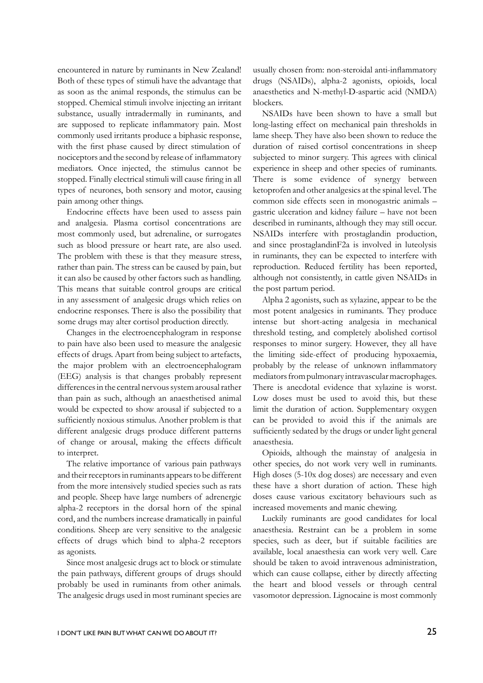encountered in nature by ruminants in New Zealand! Both of these types of stimuli have the advantage that as soon as the animal responds, the stimulus can be stopped. Chemical stimuli involve injecting an irritant substance, usually intradermally in ruminants, and are supposed to replicate inflammatory pain. Most commonly used irritants produce a biphasic response, with the first phase caused by direct stimulation of nociceptors and the second by release of inflammatory mediators. Once injected, the stimulus cannot be stopped. Finally electrical stimuli will cause firing in all types of neurones, both sensory and motor, causing pain among other things.

Endocrine effects have been used to assess pain and analgesia. Plasma cortisol concentrations are most commonly used, but adrenaline, or surrogates such as blood pressure or heart rate, are also used. The problem with these is that they measure stress, rather than pain. The stress can be caused by pain, but it can also be caused by other factors such as handling. This means that suitable control groups are critical in any assessment of analgesic drugs which relies on endocrine responses. There is also the possibility that some drugs may alter cortisol production directly.

Changes in the electroencephalogram in response to pain have also been used to measure the analgesic effects of drugs. Apart from being subject to artefacts, the major problem with an electroencephalogram (EEG) analysis is that changes probably represent differences in the central nervous system arousal rather than pain as such, although an anaesthetised animal would be expected to show arousal if subjected to a sufficiently noxious stimulus. Another problem is that different analgesic drugs produce different patterns of change or arousal, making the effects difficult to interpret.

The relative importance of various pain pathways and their receptors in ruminants appears to be different from the more intensively studied species such as rats and people. Sheep have large numbers of adrenergic alpha-2 receptors in the dorsal horn of the spinal cord, and the numbers increase dramatically in painful conditions. Sheep are very sensitive to the analgesic effects of drugs which bind to alpha-2 receptors as agonists.

Since most analgesic drugs act to block or stimulate the pain pathways, different groups of drugs should probably be used in ruminants from other animals. The analgesic drugs used in most ruminant species are usually chosen from: non-steroidal anti-inflammatory drugs (NSAIDs), alpha-2 agonists, opioids, local anaesthetics and N-methyl-D-aspartic acid (NMDA) blockers.

NSAIDs have been shown to have a small but long-lasting effect on mechanical pain thresholds in lame sheep. They have also been shown to reduce the duration of raised cortisol concentrations in sheep subjected to minor surgery. This agrees with clinical experience in sheep and other species of ruminants. There is some evidence of synergy between ketoprofen and other analgesics at the spinal level. The common side effects seen in monogastric animals – gastric ulceration and kidney failure – have not been described in ruminants, although they may still occur. NSAIDs interfere with prostaglandin production, and since prostaglandinF2a is involved in luteolysis in ruminants, they can be expected to interfere with reproduction. Reduced fertility has been reported, although not consistently, in cattle given NSAIDs in the post partum period.

Alpha 2 agonists, such as xylazine, appear to be the most potent analgesics in ruminants. They produce intense but short-acting analgesia in mechanical threshold testing, and completely abolished cortisol responses to minor surgery. However, they all have the limiting side-effect of producing hypoxaemia, probably by the release of unknown inflammatory mediators from pulmonary intravascular macrophages. There is anecdotal evidence that xylazine is worst. Low doses must be used to avoid this, but these limit the duration of action. Supplementary oxygen can be provided to avoid this if the animals are sufficiently sedated by the drugs or under light general anaesthesia.

Opioids, although the mainstay of analgesia in other species, do not work very well in ruminants. High doses (5-10x dog doses) are necessary and even these have a short duration of action. These high doses cause various excitatory behaviours such as increased movements and manic chewing.

Luckily ruminants are good candidates for local anaesthesia. Restraint can be a problem in some species, such as deer, but if suitable facilities are available, local anaesthesia can work very well. Care should be taken to avoid intravenous administration, which can cause collapse, either by directly affecting the heart and blood vessels or through central vasomotor depression. Lignocaine is most commonly